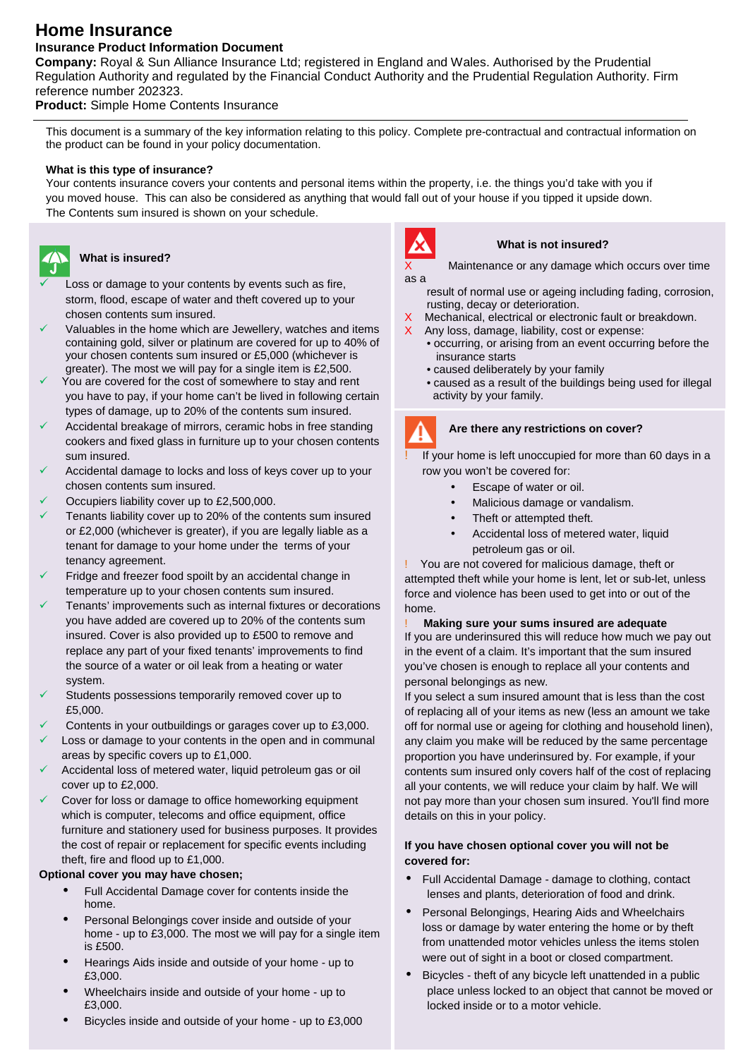# **Home Insurance**

# **Insurance Product Information Document**

**Company:** Royal & Sun Alliance Insurance Ltd; registered in England and Wales. Authorised by the Prudential Regulation Authority and regulated by the Financial Conduct Authority and the Prudential Regulation Authority. Firm reference number 202323.

**Product:** Simple Home Contents Insurance

This document is a summary of the key information relating to this policy. Complete pre-contractual and contractual information on the product can be found in your policy documentation.

# **What is this type of insurance?**

Your contents insurance covers your contents and personal items within the property, i.e. the things you'd take with you if you moved house. This can also be considered as anything that would fall out of your house if you tipped it upside down. The Contents sum insured is shown on your schedule.



#### **What is insured?**

- Loss or damage to your contents by events such as fire, storm, flood, escape of water and theft covered up to your chosen contents sum insured.
- Valuables in the home which are Jewellery, watches and items containing gold, silver or platinum are covered for up to 40% of your chosen contents sum insured or £5,000 (whichever is greater). The most we will pay for a single item is £2,500.
- You are covered for the cost of somewhere to stay and rent you have to pay, if your home can't be lived in following certain types of damage, up to 20% of the contents sum insured.
- Accidental breakage of mirrors, ceramic hobs in free standing cookers and fixed glass in furniture up to your chosen contents sum insured.
- Accidental damage to locks and loss of keys cover up to your chosen contents sum insured.
- Occupiers liability cover up to £2,500,000.
- Tenants liability cover up to 20% of the contents sum insured or £2,000 (whichever is greater), if you are legally liable as a tenant for damage to your home under the terms of your tenancy agreement.
- temperature up to your chosen contents sum insured. Fridge and freezer food spoilt by an accidental change in
- Tenants' improvements such as internal fixtures or decorations you have added are covered up to 20% of the contents sum insured. Cover is also provided up to £500 to remove and replace any part of your fixed tenants' improvements to find the source of a water or oil leak from a heating or water system.
- Students possessions temporarily removed cover up to £5,000.
- Contents in your outbuildings or garages cover up to £3,000.
- Loss or damage to your contents in the open and in communal areas by specific covers up to £1,000.
- Accidental loss of metered water, liquid petroleum gas or oil cover up to £2,000.
- Cover for loss or damage to office homeworking equipment which is computer, telecoms and office equipment, office furniture and stationery used for business purposes. It provides the cost of repair or replacement for specific events including theft, fire and flood up to £1,000.

# **Optional cover you may have chosen;**

- Full Accidental Damage cover for contents inside the home.
- Personal Belongings cover inside and outside of your home - up to £3,000. The most we will pay for a single item is £500.
- Hearings Aids inside and outside of your home up to £3,000.
- Wheelchairs inside and outside of your home up to £3,000.
- Bicycles inside and outside of your home up to £3,000



#### **What is not insured?**

Maintenance or any damage which occurs over time as a

- result of normal use or ageing including fading, corrosion, rusting, decay or deterioration.
- Mechanical, electrical or electronic fault or breakdown.
- Any loss, damage, liability, cost or expense:
	- occurring, or arising from an event occurring before the insurance starts
		- caused deliberately by your family
		- caused as a result of the buildings being used for illegal activity by your family.

# **Are there any restrictions on cover?**

If your home is left unoccupied for more than 60 days in a row you won't be covered for:

- Escape of water or oil.
- Malicious damage or vandalism.
- Theft or attempted theft.
- Accidental loss of metered water, liquid petroleum gas or oil.

You are not covered for malicious damage, theft or attempted theft while your home is lent, let or sub-let, unless force and violence has been used to get into or out of the home.

#### ! **Making sure your sums insured are adequate** If you are underinsured this will reduce how much we pay out in the event of a claim. It's important that the sum insured you've chosen is enough to replace all your contents and personal belongings as new.

If you select a sum insured amount that is less than the cost of replacing all of your items as new (less an amount we take off for normal use or ageing for clothing and household linen), any claim you make will be reduced by the same percentage proportion you have underinsured by. For example, if your contents sum insured only covers half of the cost of replacing all your contents, we will reduce your claim by half. We will not pay more than your chosen sum insured. You'll find more details on this in your policy.

# **If you have chosen optional cover you will not be covered for:**

- Full Accidental Damage damage to clothing, contact lenses and plants, deterioration of food and drink.
- Personal Belongings, Hearing Aids and Wheelchairs loss or damage by water entering the home or by theft from unattended motor vehicles unless the items stolen were out of sight in a boot or closed compartment.
- Bicycles theft of any bicycle left unattended in a public place unless locked to an object that cannot be moved or locked inside or to a motor vehicle.